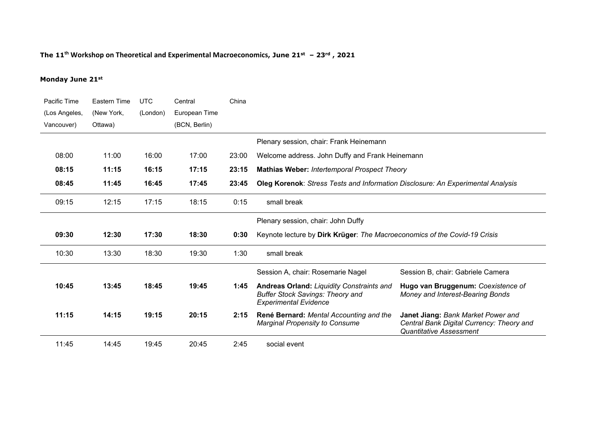## **The 11th Workshop on Theoretical and Experimental Macroeconomics, June 21st – 23rd , 2021**

## **Monday June 21st**

| Pacific Time  | Eastern Time | <b>UTC</b> | Central       | China |                                                                                                                             |                                                                                                                   |
|---------------|--------------|------------|---------------|-------|-----------------------------------------------------------------------------------------------------------------------------|-------------------------------------------------------------------------------------------------------------------|
| (Los Angeles, | (New York,   | (London)   | European Time |       |                                                                                                                             |                                                                                                                   |
| Vancouver)    | Ottawa)      |            | (BCN, Berlin) |       |                                                                                                                             |                                                                                                                   |
|               |              |            |               |       | Plenary session, chair: Frank Heinemann                                                                                     |                                                                                                                   |
| 08:00         | 11:00        | 16:00      | 17:00         | 23:00 | Welcome address. John Duffy and Frank Heinemann                                                                             |                                                                                                                   |
| 08:15         | 11:15        | 16:15      | 17:15         | 23:15 | <b>Mathias Weber: Intertemporal Prospect Theory</b>                                                                         |                                                                                                                   |
| 08:45         | 11:45        | 16:45      | 17:45         | 23:45 | Oleg Korenok: Stress Tests and Information Disclosure: An Experimental Analysis                                             |                                                                                                                   |
| 09:15         | 12:15        | 17:15      | 18:15         | 0:15  | small break                                                                                                                 |                                                                                                                   |
|               |              |            |               |       | Plenary session, chair: John Duffy                                                                                          |                                                                                                                   |
| 09:30         | 12:30        | 17:30      | 18:30         | 0:30  | Keynote lecture by Dirk Krüger: The Macroeconomics of the Covid-19 Crisis                                                   |                                                                                                                   |
| 10:30         | 13:30        | 18:30      | 19:30         | 1:30  | small break                                                                                                                 |                                                                                                                   |
|               |              |            |               |       | Session A, chair: Rosemarie Nagel                                                                                           | Session B, chair: Gabriele Camera                                                                                 |
| 10:45         | 13:45        | 18:45      | 19:45         | 1:45  | <b>Andreas Orland: Liquidity Constraints and</b><br><b>Buffer Stock Savings: Theory and</b><br><b>Experimental Evidence</b> | Hugo van Bruggenum: Coexistence of<br>Money and Interest-Bearing Bonds                                            |
| 11:15         | 14:15        | 19:15      | 20:15         | 2:15  | René Bernard: Mental Accounting and the<br><b>Marginal Propensity to Consume</b>                                            | Janet Jiang: Bank Market Power and<br>Central Bank Digital Currency: Theory and<br><b>Quantitative Assessment</b> |
| 11:45         | 14:45        | 19:45      | 20:45         | 2:45  | social event                                                                                                                |                                                                                                                   |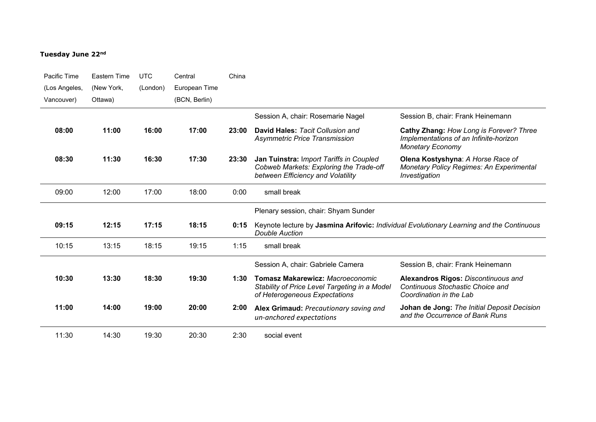## **Tuesday June 22nd**

| Pacific Time  | Eastern Time | <b>UTC</b> | Central       | China |                                                                                                                           |                                                                                                              |
|---------------|--------------|------------|---------------|-------|---------------------------------------------------------------------------------------------------------------------------|--------------------------------------------------------------------------------------------------------------|
| (Los Angeles, | (New York,   | (London)   | European Time |       |                                                                                                                           |                                                                                                              |
| Vancouver)    | Ottawa)      |            | (BCN, Berlin) |       |                                                                                                                           |                                                                                                              |
|               |              |            |               |       | Session A, chair: Rosemarie Nagel                                                                                         | Session B, chair: Frank Heinemann                                                                            |
| 08:00         | 11:00        | 16:00      | 17:00         | 23:00 | David Hales: Tacit Collusion and<br><b>Asymmetric Price Transmission</b>                                                  | Cathy Zhang: How Long is Forever? Three<br>Implementations of an Infinite-horizon<br><b>Monetary Economy</b> |
| 08:30         | 11:30        | 16:30      | 17:30         | 23:30 | Jan Tuinstra: Import Tariffs in Coupled<br>Cobweb Markets: Exploring the Trade-off<br>between Efficiency and Volatility   | Olena Kostyshyna: A Horse Race of<br><b>Monetary Policy Regimes: An Experimental</b><br>Investigation        |
| 09:00         | 12:00        | 17:00      | 18:00         | 0:00  | small break                                                                                                               |                                                                                                              |
|               |              |            |               |       | Plenary session, chair: Shyam Sunder                                                                                      |                                                                                                              |
| 09:15         | 12:15        | 17:15      | 18:15         | 0:15  | <b>Double Auction</b>                                                                                                     | Keynote lecture by Jasmina Arifovic: Individual Evolutionary Learning and the Continuous                     |
| 10:15         | 13:15        | 18:15      | 19:15         | 1:15  | small break                                                                                                               |                                                                                                              |
|               |              |            |               |       | Session A, chair: Gabriele Camera                                                                                         | Session B, chair: Frank Heinemann                                                                            |
| 10:30         | 13:30        | 18:30      | 19:30         | 1:30  | <b>Tomasz Makarewicz: Macroeconomic</b><br>Stability of Price Level Targeting in a Model<br>of Heterogeneous Expectations | Alexandros Rigos: Discontinuous and<br>Continuous Stochastic Choice and<br>Coordination in the Lab           |
| 11:00         | 14:00        | 19:00      | 20:00         | 2:00  | Alex Grimaud: Precautionary saving and<br>un-anchored expectations                                                        | Johan de Jong: The Initial Deposit Decision<br>and the Occurrence of Bank Runs                               |
| 11:30         | 14:30        | 19:30      | 20:30         | 2:30  | social event                                                                                                              |                                                                                                              |